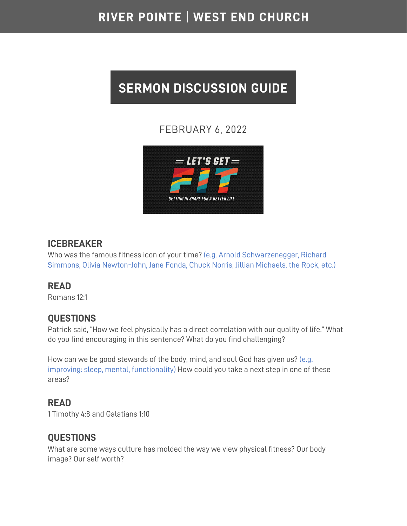## RIVER POINTE | WEST END CHURCH

# **SERMON DISCUSSION GUIDE**

## FEBRUARY 6, 2022



#### **ICEBREAKER**

Who was the famous fitness icon of your time? (e.g. Arnold Schwarzenegger, Richard Simmons, Olivia Newton-John, Jane Fonda, Chuck Norris, Jillian Michaels, the Rock, etc.)

#### **READ**

Romans 12:1

#### **QUESTIONS**

Patrick said, "How we feel physically has a direct correlation with our quality of life." What do you find encouraging in this sentence? What do you find challenging?

How can we be good stewards of the body, mind, and soul God has given us? (e.g. improving: sleep, mental, functionality) How could you take a next step in one of these areas?

### **READ**

1 Timothy 4:8 and Galatians 1:10

#### **QUESTIONS**

What are some ways culture has molded the way we view physical fitness? Our body image? Our self worth?